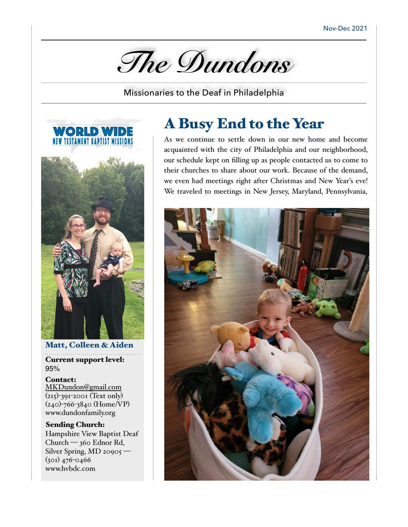*The Dundons* 

Missionaries to the Deaf in Philadelphia





Matt, Colleen & Aiden Current support level: 95%

Contact: [MKDundon@gmail.com](mailto:MKDundon@gmail.com) (215)-391-2001 (Text only) (240)-766-3840 (Home/VP) www.dundonfamily.org

Sending Church: Hampshire View Baptist Deaf Church — 360 Ednor Rd, Silver Spring, MD 20905 — (301) 476-0466 www.hvbdc.com

# A Busy End to the Year

As we continue to settle down in our new home and become acquainted with the city of Philadelphia and our neighborhood, our schedule kept on filling up as people contacted us to come to their churches to share about our work. Because of the demand, we even had meetings right after Christmas and New Year's eve! We traveled to meetings in New Jersey, Maryland, Pennsylvania,